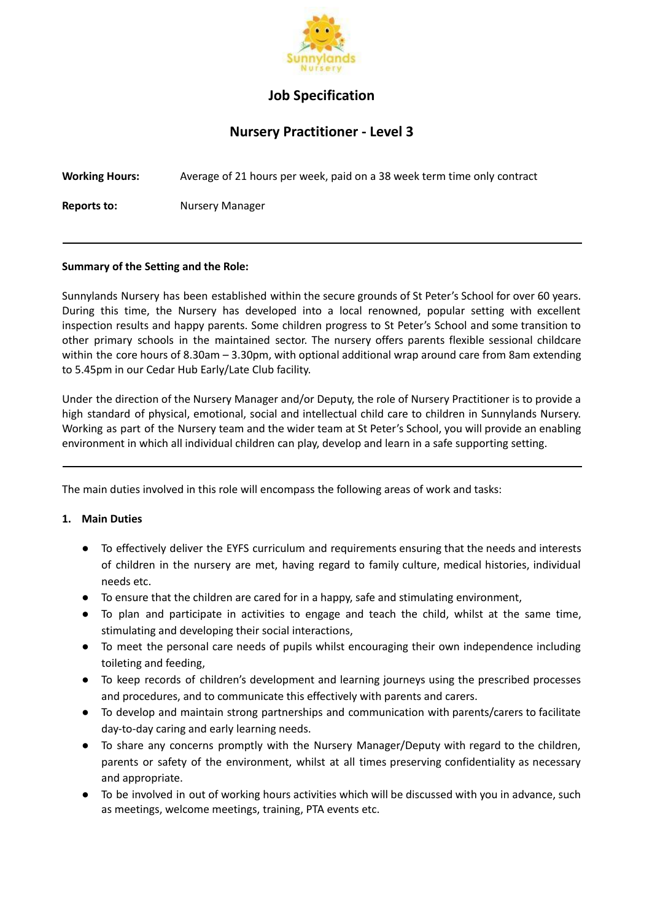

# **Job Specification**

# **Nursery Practitioner - Level 3**

| <b>Working Hours:</b> | Average of 21 hours per week, paid on a 38 week term time only contract |
|-----------------------|-------------------------------------------------------------------------|
| .                     | $\blacksquare$                                                          |

**Reports to:** Nursery Manager

#### **Summary of the Setting and the Role:**

Sunnylands Nursery has been established within the secure grounds of St Peter's School for over 60 years. During this time, the Nursery has developed into a local renowned, popular setting with excellent inspection results and happy parents. Some children progress to St Peter's School and some transition to other primary schools in the maintained sector. The nursery offers parents flexible sessional childcare within the core hours of 8.30am – 3.30pm, with optional additional wrap around care from 8am extending to 5.45pm in our Cedar Hub Early/Late Club facility.

Under the direction of the Nursery Manager and/or Deputy, the role of Nursery Practitioner is to provide a high standard of physical, emotional, social and intellectual child care to children in Sunnylands Nursery. Working as part of the Nursery team and the wider team at St Peter's School, you will provide an enabling environment in which all individual children can play, develop and learn in a safe supporting setting.

The main duties involved in this role will encompass the following areas of work and tasks:

## **1. Main Duties**

- To effectively deliver the EYFS curriculum and requirements ensuring that the needs and interests of children in the nursery are met, having regard to family culture, medical histories, individual needs etc.
- To ensure that the children are cared for in a happy, safe and stimulating environment,
- To plan and participate in activities to engage and teach the child, whilst at the same time, stimulating and developing their social interactions,
- To meet the personal care needs of pupils whilst encouraging their own independence including toileting and feeding,
- To keep records of children's development and learning journeys using the prescribed processes and procedures, and to communicate this effectively with parents and carers.
- To develop and maintain strong partnerships and communication with parents/carers to facilitate day-to-day caring and early learning needs.
- To share any concerns promptly with the Nursery Manager/Deputy with regard to the children, parents or safety of the environment, whilst at all times preserving confidentiality as necessary and appropriate.
- To be involved in out of working hours activities which will be discussed with you in advance, such as meetings, welcome meetings, training, PTA events etc.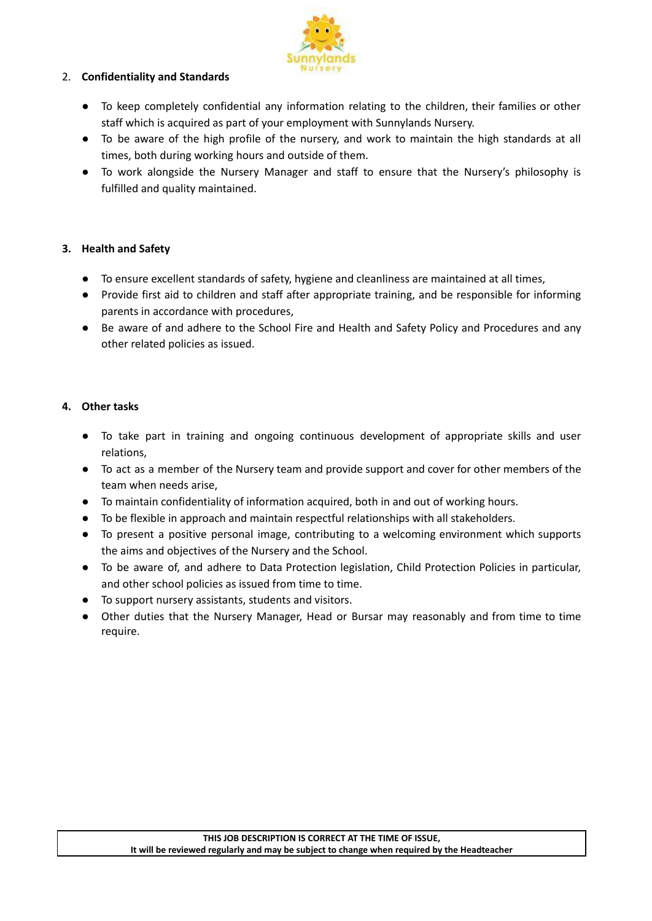

#### 2. **Confidentiality and Standards**

- To keep completely confidential any information relating to the children, their families or other staff which is acquired as part of your employment with Sunnylands Nursery.
- To be aware of the high profile of the nursery, and work to maintain the high standards at all times, both during working hours and outside of them.
- To work alongside the Nursery Manager and staff to ensure that the Nursery's philosophy is fulfilled and quality maintained.

## **3. Health and Safety**

- To ensure excellent standards of safety, hygiene and cleanliness are maintained at all times,
- Provide first aid to children and staff after appropriate training, and be responsible for informing parents in accordance with procedures,
- Be aware of and adhere to the School Fire and Health and Safety Policy and Procedures and any other related policies as issued.

## **4. Other tasks**

- To take part in training and ongoing continuous development of appropriate skills and user relations,
- To act as a member of the Nursery team and provide support and cover for other members of the team when needs arise,
- To maintain confidentiality of information acquired, both in and out of working hours.
- To be flexible in approach and maintain respectful relationships with all stakeholders.
- To present a positive personal image, contributing to a welcoming environment which supports the aims and objectives of the Nursery and the School.
- To be aware of, and adhere to Data Protection legislation, Child Protection Policies in particular, and other school policies as issued from time to time.
- To support nursery assistants, students and visitors.
- Other duties that the Nursery Manager, Head or Bursar may reasonably and from time to time require.